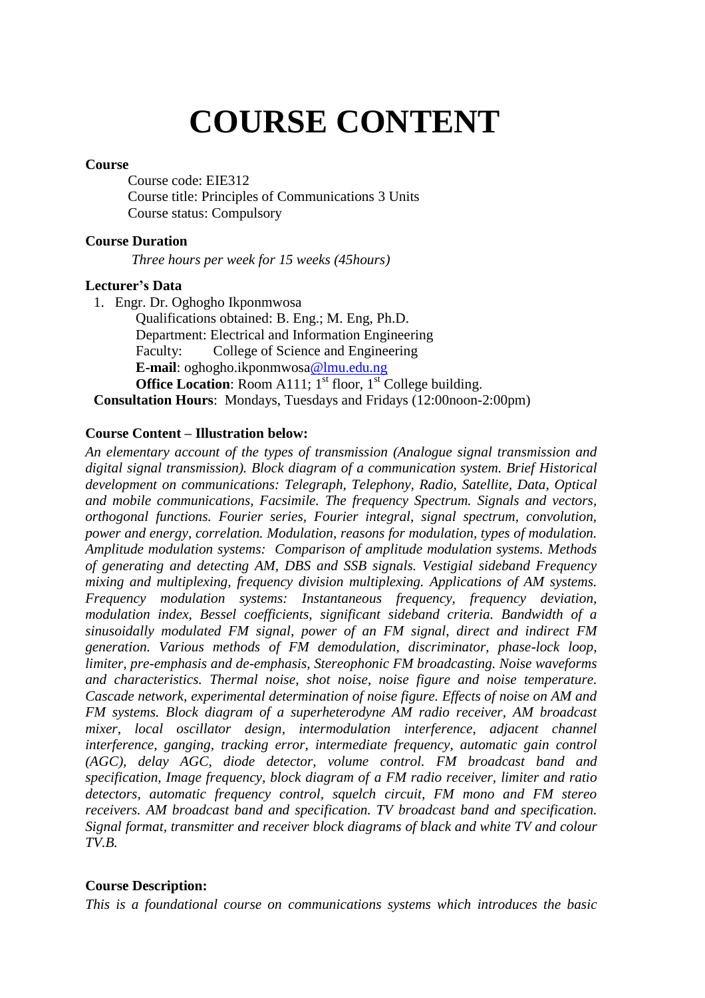# **COURSE CONTENT**

#### **Course**

Course code: EIE312 Course title: Principles of Communications 3 Units Course status: Compulsory

#### **Course Duration**

*Three hours per week for 15 weeks (45hours)*

#### **Lecturer's Data**

1. Engr. Dr. Oghogho Ikponmwosa Qualifications obtained: B. Eng.; M. Eng, Ph.D. Department: Electrical and Information Engineering Faculty: College of Science and Engineering **E-mail**: oghogho.ikponmwosa@lmu.edu.ng **Office Location:** Room A111;  $1<sup>st</sup>$  floor,  $1<sup>st</sup>$  College building. **Consultation Hours**: Mondays, Tuesdays and Fridays (12:00noon-2:00pm)

#### **Course Content – Illustration below:**

*An elementary account of the types of transmission (Analogue signal transmission and digital signal transmission). Block diagram of a communication system. Brief Historical development on communications: Telegraph, Telephony, Radio, Satellite, Data, Optical and mobile communications, Facsimile. The frequency Spectrum. Signals and vectors, orthogonal functions. Fourier series, Fourier integral, signal spectrum, convolution, power and energy, correlation. Modulation, reasons for modulation, types of modulation. Amplitude modulation systems: Comparison of amplitude modulation systems. Methods of generating and detecting AM, DBS and SSB signals. Vestigial sideband Frequency mixing and multiplexing, frequency division multiplexing. Applications of AM systems. Frequency modulation systems: Instantaneous frequency, frequency deviation, modulation index, Bessel coefficients, significant sideband criteria. Bandwidth of a sinusoidally modulated FM signal, power of an FM signal, direct and indirect FM generation. Various methods of FM demodulation, discriminator, phase-lock loop, limiter, pre-emphasis and de-emphasis, Stereophonic FM broadcasting. Noise waveforms and characteristics. Thermal noise, shot noise, noise figure and noise temperature. Cascade network, experimental determination of noise figure. Effects of noise on AM and FM systems. Block diagram of a superheterodyne AM radio receiver, AM broadcast mixer, local oscillator design, intermodulation interference, adjacent channel interference, ganging, tracking error, intermediate frequency, automatic gain control (AGC), delay AGC, diode detector, volume control. FM broadcast band and specification, Image frequency, block diagram of a FM radio receiver, limiter and ratio detectors, automatic frequency control, squelch circuit, FM mono and FM stereo receivers. AM broadcast band and specification. TV broadcast band and specification. Signal format, transmitter and receiver block diagrams of black and white TV and colour TV.B.*

#### **Course Description:**

*This is a foundational course on communications systems which introduces the basic*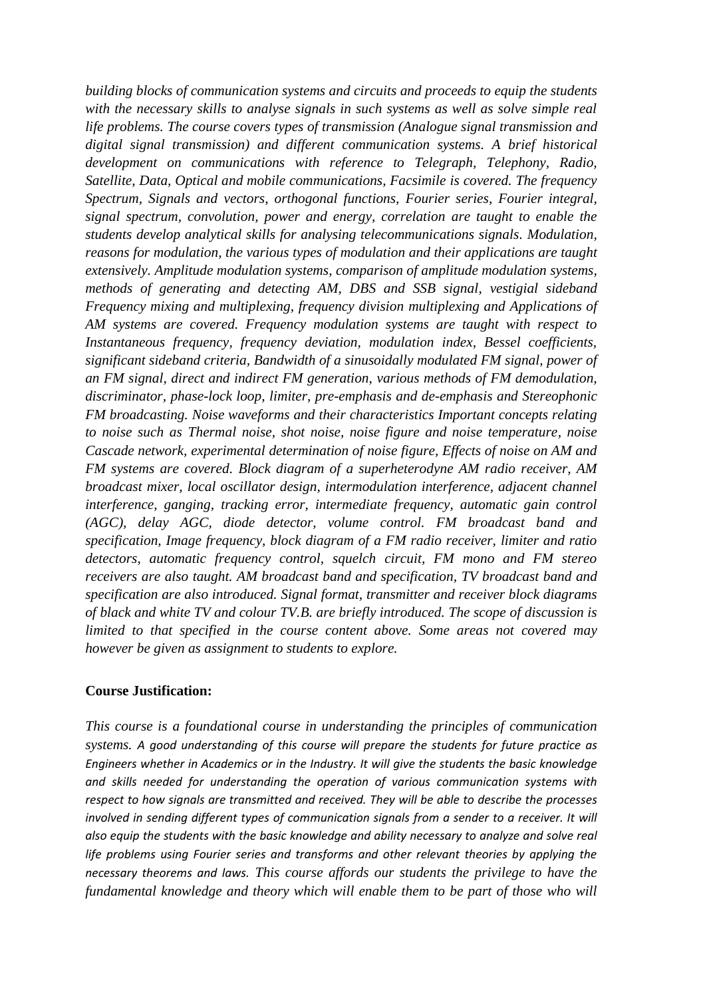*building blocks of communication systems and circuits and proceeds to equip the students with the necessary skills to analyse signals in such systems as well as solve simple real life problems. The course covers types of transmission (Analogue signal transmission and digital signal transmission) and different communication systems. A brief historical development on communications with reference to Telegraph, Telephony, Radio, Satellite, Data, Optical and mobile communications, Facsimile is covered. The frequency Spectrum, Signals and vectors, orthogonal functions, Fourier series, Fourier integral, signal spectrum, convolution, power and energy, correlation are taught to enable the students develop analytical skills for analysing telecommunications signals. Modulation, reasons for modulation, the various types of modulation and their applications are taught extensively. Amplitude modulation systems, comparison of amplitude modulation systems, methods of generating and detecting AM, DBS and SSB signal, vestigial sideband Frequency mixing and multiplexing, frequency division multiplexing and Applications of AM systems are covered. Frequency modulation systems are taught with respect to Instantaneous frequency, frequency deviation, modulation index, Bessel coefficients, significant sideband criteria, Bandwidth of a sinusoidally modulated FM signal, power of an FM signal, direct and indirect FM generation, various methods of FM demodulation, discriminator, phase-lock loop, limiter, pre-emphasis and de-emphasis and Stereophonic FM broadcasting. Noise waveforms and their characteristics Important concepts relating to noise such as Thermal noise, shot noise, noise figure and noise temperature, noise Cascade network, experimental determination of noise figure, Effects of noise on AM and FM systems are covered. Block diagram of a superheterodyne AM radio receiver, AM broadcast mixer, local oscillator design, intermodulation interference, adjacent channel interference, ganging, tracking error, intermediate frequency, automatic gain control (AGC), delay AGC, diode detector, volume control. FM broadcast band and specification, Image frequency, block diagram of a FM radio receiver, limiter and ratio detectors, automatic frequency control, squelch circuit, FM mono and FM stereo receivers are also taught. AM broadcast band and specification, TV broadcast band and specification are also introduced. Signal format, transmitter and receiver block diagrams of black and white TV and colour TV.B. are briefly introduced. The scope of discussion is limited to that specified in the course content above. Some areas not covered may however be given as assignment to students to explore.*

#### **Course Justification:**

*This course is a foundational course in understanding the principles of communication systems. A good understanding of this course will prepare the students for future practice as Engineers whether in Academics or in the Industry. It will give the students the basic knowledge and skills needed for understanding the operation of various communication systems with respect to how signals are transmitted and received. They will be able to describe the processes involved in sending different types of communication signals from a sender to a receiver. It will also equip the students with the basic knowledge and ability necessary to analyze and solve real life problems using Fourier series and transforms and other relevant theories by applying the necessary theorems and laws. This course affords our students the privilege to have the fundamental knowledge and theory which will enable them to be part of those who will*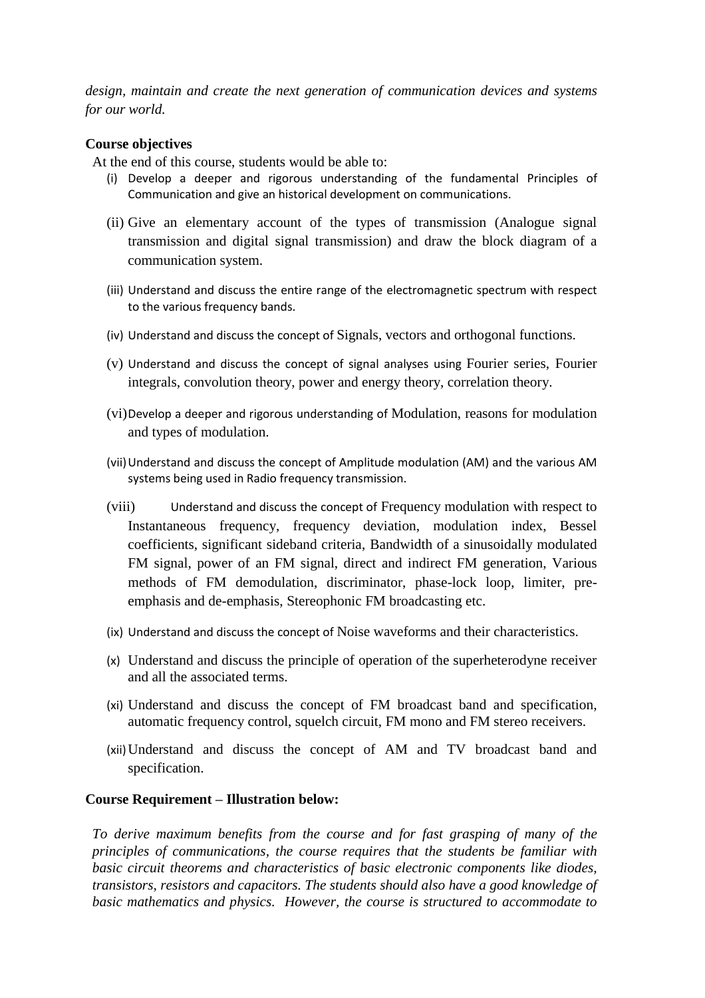*design, maintain and create the next generation of communication devices and systems for our world.* 

#### **Course objectives**

At the end of this course, students would be able to:

- (i) Develop a deeper and rigorous understanding of the fundamental Principles of Communication and give an historical development on communications.
- (ii) Give an elementary account of the types of transmission (Analogue signal transmission and digital signal transmission) and draw the block diagram of a communication system.
- (iii) Understand and discuss the entire range of the electromagnetic spectrum with respect to the various frequency bands.
- (iv) Understand and discuss the concept of Signals, vectors and orthogonal functions.
- (v) Understand and discuss the concept of signal analyses using Fourier series, Fourier integrals, convolution theory, power and energy theory, correlation theory.
- (vi)Develop a deeper and rigorous understanding of Modulation, reasons for modulation and types of modulation.
- (vii)Understand and discuss the concept of Amplitude modulation (AM) and the various AM systems being used in Radio frequency transmission.
- (viii) Understand and discuss the concept of Frequency modulation with respect to Instantaneous frequency, frequency deviation, modulation index, Bessel coefficients, significant sideband criteria, Bandwidth of a sinusoidally modulated FM signal, power of an FM signal, direct and indirect FM generation, Various methods of FM demodulation, discriminator, phase-lock loop, limiter, preemphasis and de-emphasis, Stereophonic FM broadcasting etc.
- (ix) Understand and discuss the concept of Noise waveforms and their characteristics.
- (x) Understand and discuss the principle of operation of the superheterodyne receiver and all the associated terms.
- (xi) Understand and discuss the concept of FM broadcast band and specification, automatic frequency control, squelch circuit, FM mono and FM stereo receivers.
- (xii)Understand and discuss the concept of AM and TV broadcast band and specification.

#### **Course Requirement – Illustration below:**

*To derive maximum benefits from the course and for fast grasping of many of the principles of communications, the course requires that the students be familiar with basic circuit theorems and characteristics of basic electronic components like diodes, transistors, resistors and capacitors. The students should also have a good knowledge of basic mathematics and physics. However, the course is structured to accommodate to*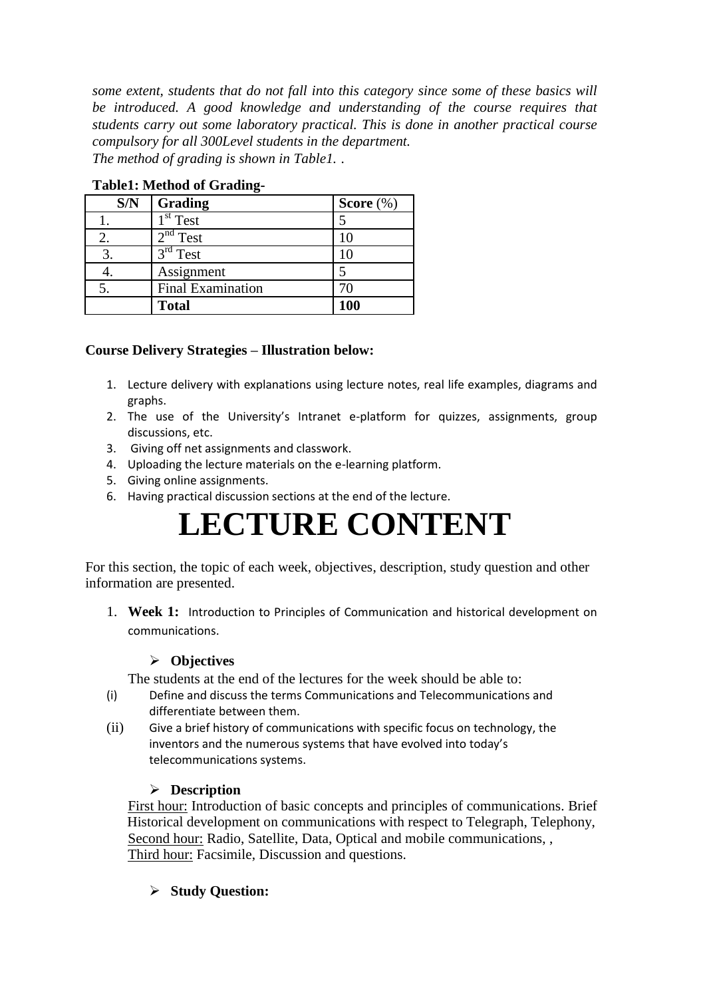*some extent, students that do not fall into this category since some of these basics will be introduced. A good knowledge and understanding of the course requires that students carry out some laboratory practical. This is done in another practical course compulsory for all 300Level students in the department. The method of grading is shown in Table1. .*

| S/N | Grading                  | Score $(\%)$ |
|-----|--------------------------|--------------|
|     | $1st$ Test               |              |
| 2.  | $2nd$ Test               |              |
|     | 3 <sup>rd</sup> Test     | 10           |
|     | Assignment               |              |
| 5.  | <b>Final Examination</b> |              |
|     | <b>Total</b>             | 100          |

**Table1: Method of Grading-**

# **Course Delivery Strategies – Illustration below:**

- 1. Lecture delivery with explanations using lecture notes, real life examples, diagrams and graphs.
- 2. The use of the University's Intranet e-platform for quizzes, assignments, group discussions, etc.
- 3. Giving off net assignments and classwork.
- 4. Uploading the lecture materials on the e-learning platform.
- 5. Giving online assignments.
- 6. Having practical discussion sections at the end of the lecture.

# **LECTURE CONTENT**

For this section, the topic of each week, objectives, description, study question and other information are presented.

1. **Week 1:** Introduction to Principles of Communication and historical development on communications.

#### **Objectives**

The students at the end of the lectures for the week should be able to:

- (i) Define and discuss the terms Communications and Telecommunications and differentiate between them.
- (ii) Give a brief history of communications with specific focus on technology, the inventors and the numerous systems that have evolved into today's telecommunications systems.

# **Description**

First hour: Introduction of basic concepts and principles of communications. Brief Historical development on communications with respect to Telegraph, Telephony, Second hour: Radio, Satellite, Data, Optical and mobile communications, , Third hour: Facsimile, Discussion and questions.

# **Study Question:**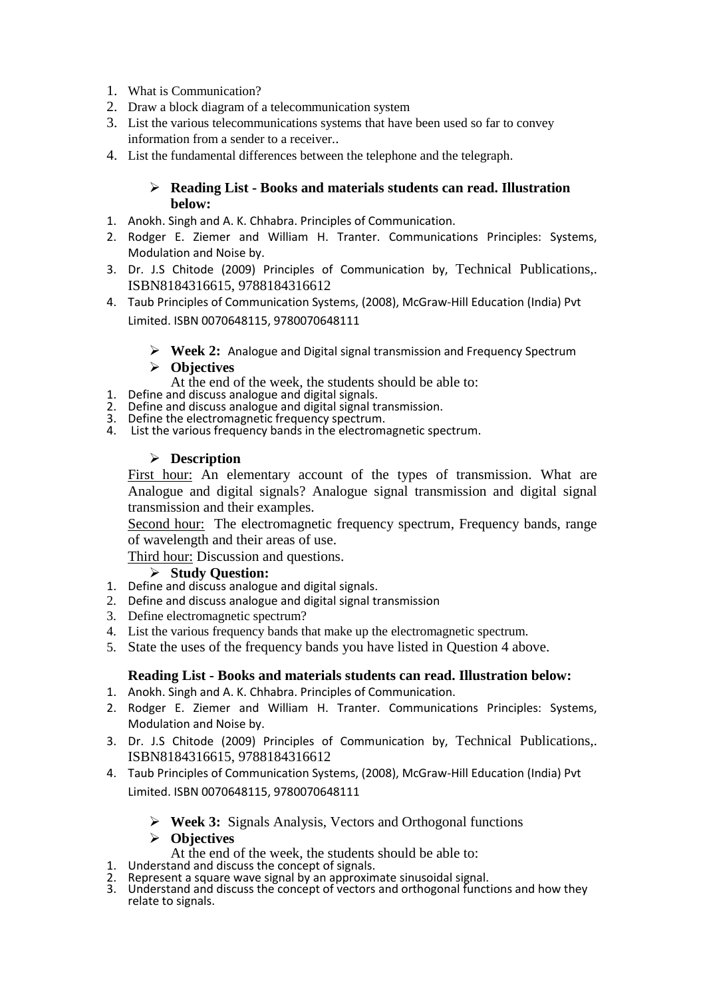- 1. What is Communication?
- 2. Draw a block diagram of a telecommunication system
- 3. List the various telecommunications systems that have been used so far to convey information from a sender to a receiver..
- 4. List the fundamental differences between the telephone and the telegraph.

#### **Reading List - Books and materials students can read. Illustration below:**

- 1. Anokh. Singh and A. K. Chhabra. Principles of Communication.
- 2. Rodger E. Ziemer and William H. Tranter. Communications Principles: Systems, Modulation and Noise by.
- 3. Dr. J.S Chitode (2009) Principles of Communication by, Technical Publications,. ISBN8184316615, 9788184316612
- 4. Taub Principles of Communication Systems, (2008), McGraw-Hill Education (India) Pvt Limited. ISBN 0070648115, 9780070648111
	- **Week 2:** Analogue and Digital signal transmission and Frequency Spectrum

#### **Objectives**

- At the end of the week, the students should be able to:
- 1. Define and discuss analogue and digital signals.
- 2. Define and discuss analogue and digital signal transmission.
- 3. Define the electromagnetic frequency spectrum.
- 4. List the various frequency bands in the electromagnetic spectrum.

#### **Description**

First hour: An elementary account of the types of transmission. What are Analogue and digital signals? Analogue signal transmission and digital signal transmission and their examples.

Second hour: The electromagnetic frequency spectrum, Frequency bands, range of wavelength and their areas of use.

Third hour: Discussion and questions.

#### **Study Question:**

- 1. Define and discuss analogue and digital signals.
- 2. Define and discuss analogue and digital signal transmission
- 3. Define electromagnetic spectrum?
- 4. List the various frequency bands that make up the electromagnetic spectrum.
- 5. State the uses of the frequency bands you have listed in Question 4 above.

#### **Reading List - Books and materials students can read. Illustration below:**

- 1. Anokh. Singh and A. K. Chhabra. Principles of Communication.
- 2. Rodger E. Ziemer and William H. Tranter. Communications Principles: Systems, Modulation and Noise by.
- 3. Dr. J.S Chitode (2009) Principles of Communication by, Technical Publications,. ISBN8184316615, 9788184316612
- 4. Taub Principles of Communication Systems, (2008), McGraw-Hill Education (India) Pvt Limited. ISBN 0070648115, 9780070648111
	- **Week 3:** Signals Analysis, Vectors and Orthogonal functions

#### **Objectives**

- At the end of the week, the students should be able to:
- 1. Understand and discuss the concept of signals.
- 2. Represent a square wave signal by an approximate sinusoidal signal.
- 3. Understand and discuss the concept of vectors and orthogonal functions and how they relate to signals.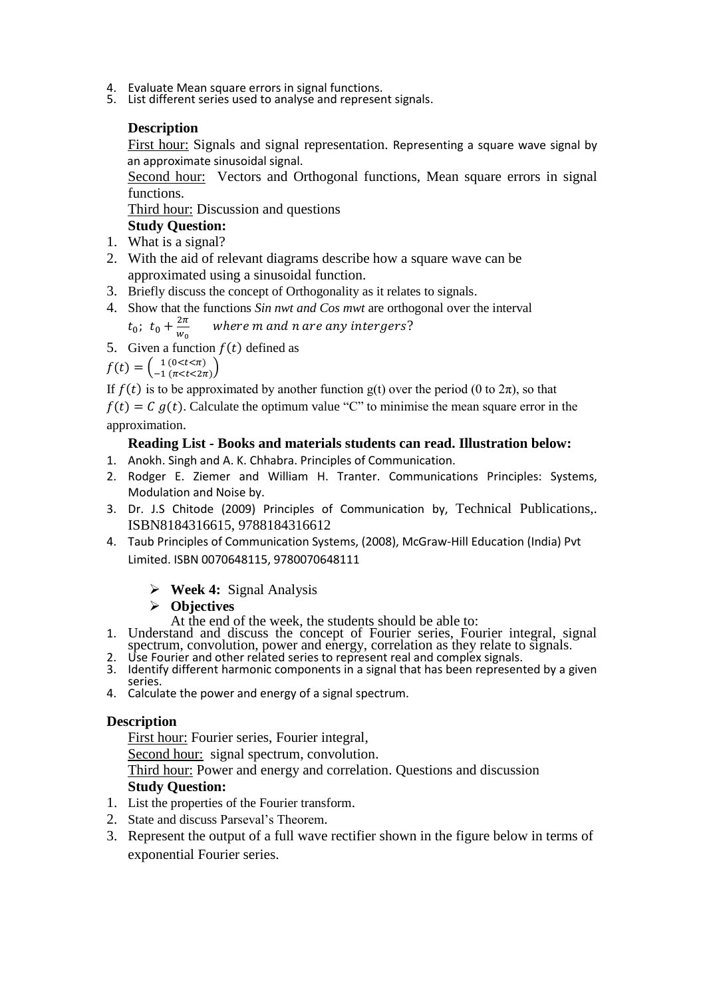- 4. Evaluate Mean square errors in signal functions.
- 5. List different series used to analyse and represent signals.

#### **Description**

First hour: Signals and signal representation. Representing a square wave signal by an approximate sinusoidal signal.

Second hour: Vectors and Orthogonal functions, Mean square errors in signal functions.

Third hour: Discussion and questions

# **Study Question:**

- 1. What is a signal?
- 2. With the aid of relevant diagrams describe how a square wave can be approximated using a sinusoidal function.
- 3. Briefly discuss the concept of Orthogonality as it relates to signals.
- 4. Show that the functions *Sin nwt and Cos mwt* are orthogonal over the interval

 $t_0$ ;  $t_0 + \frac{2}{u}$ W where m and n are any intergers?

5. Given a function  $f(t)$  defined as

 $f(t) = \begin{cases} 1 (0 < t < \pi) \\ -1 (0 < t < \pi) \end{cases}$  $\left[ \frac{1(0< t < n)}{-1(\pi < t < 2\pi)} \right]$ 

If  $f(t)$  is to be approximated by another function g(t) over the period (0 to  $2\pi$ ), so that

 $f(t) = C g(t)$ . Calculate the optimum value "C" to minimise the mean square error in the approximation.

#### **Reading List - Books and materials students can read. Illustration below:**

- 1. Anokh. Singh and A. K. Chhabra. Principles of Communication.
- 2. Rodger E. Ziemer and William H. Tranter. Communications Principles: Systems, Modulation and Noise by.
- 3. Dr. J.S Chitode (2009) Principles of Communication by, Technical Publications,. ISBN8184316615, 9788184316612
- 4. Taub Principles of Communication Systems, (2008), McGraw-Hill Education (India) Pvt Limited. ISBN 0070648115, 9780070648111
	- **Week 4:** Signal Analysis

#### **Objectives**

At the end of the week, the students should be able to:

- 1. Understand and discuss the concept of Fourier series, Fourier integral, signal spectrum, convolution, power and energy, correlation as they relate to signals.
- 2. Use Fourier and other related series to represent real and complex signals.
- 3. Identify different harmonic components in a signal that has been represented by a given series.
- 4. Calculate the power and energy of a signal spectrum.

#### **Description**

First hour: Fourier series, Fourier integral,

Second hour: signal spectrum, convolution.

Third hour: Power and energy and correlation. Questions and discussion **Study Question:** 

- 1. List the properties of the Fourier transform.
- 2. State and discuss Parseval's Theorem.
- 3. Represent the output of a full wave rectifier shown in the figure below in terms of exponential Fourier series.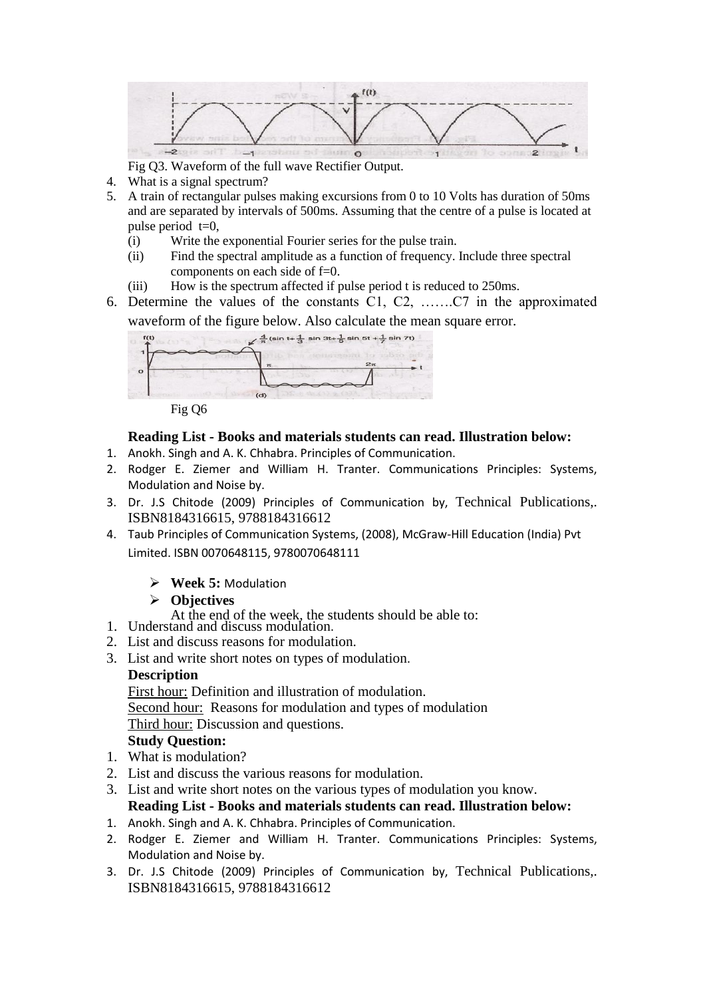

Fig Q3. Waveform of the full wave Rectifier Output.

- 4. What is a signal spectrum?
- 5. A train of rectangular pulses making excursions from 0 to 10 Volts has duration of 50ms and are separated by intervals of 500ms. Assuming that the centre of a pulse is located at pulse period  $t=0$ ,
	- (i) Write the exponential Fourier series for the pulse train.
	- (ii) Find the spectral amplitude as a function of frequency. Include three spectral components on each side of f=0.
	- (iii) How is the spectrum affected if pulse period t is reduced to 250ms.
- 6. Determine the values of the constants C1, C2, …….C7 in the approximated waveform of the figure below. Also calculate the mean square error.



Fig Q6

# **Reading List - Books and materials students can read. Illustration below:**

- 1. Anokh. Singh and A. K. Chhabra. Principles of Communication.
- 2. Rodger E. Ziemer and William H. Tranter. Communications Principles: Systems, Modulation and Noise by.
- 3. Dr. J.S Chitode (2009) Principles of Communication by, Technical Publications,. ISBN8184316615, 9788184316612
- 4. Taub Principles of Communication Systems, (2008), McGraw-Hill Education (India) Pvt Limited. ISBN 0070648115, 9780070648111
	- **Week 5:** Modulation

# **Objectives**

- At the end of the week, the students should be able to:
- 1. Understand and discuss modulation.
- 2. List and discuss reasons for modulation.
- 3. List and write short notes on types of modulation.

# **Description**

First hour: Definition and illustration of modulation. Second hour: Reasons for modulation and types of modulation Third hour: Discussion and questions. **Study Question:** 

- 1. What is modulation?
- 2. List and discuss the various reasons for modulation.
- 3. List and write short notes on the various types of modulation you know. **Reading List - Books and materials students can read. Illustration below:**
- 1. Anokh. Singh and A. K. Chhabra. Principles of Communication.
- 2. Rodger E. Ziemer and William H. Tranter. Communications Principles: Systems, Modulation and Noise by.
- 3. Dr. J.S Chitode (2009) Principles of Communication by, Technical Publications,. ISBN8184316615, 9788184316612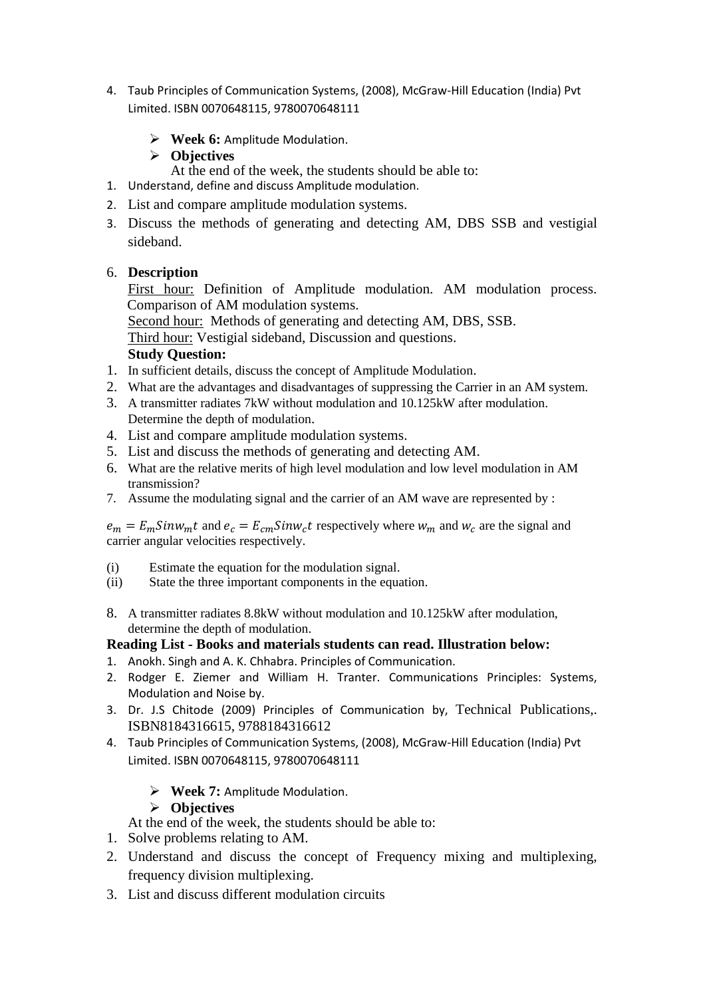- 4. Taub Principles of Communication Systems, (2008), McGraw-Hill Education (India) Pvt Limited. ISBN 0070648115, 9780070648111
	- **Week 6:** Amplitude Modulation.

# **Objectives**

- At the end of the week, the students should be able to:
- 1. Understand, define and discuss Amplitude modulation.
- 2. List and compare amplitude modulation systems.
- 3. Discuss the methods of generating and detecting AM, DBS SSB and vestigial sideband.

# 6. **Description**

First hour: Definition of Amplitude modulation. AM modulation process. Comparison of AM modulation systems.

Second hour: Methods of generating and detecting AM, DBS, SSB. Third hour: Vestigial sideband, Discussion and questions.

# **Study Question:**

- 1. In sufficient details, discuss the concept of Amplitude Modulation.
- 2. What are the advantages and disadvantages of suppressing the Carrier in an AM system.
- 3. A transmitter radiates 7kW without modulation and 10.125kW after modulation. Determine the depth of modulation.
- 4. List and compare amplitude modulation systems.
- 5. List and discuss the methods of generating and detecting AM.
- 6. What are the relative merits of high level modulation and low level modulation in AM transmission?
- 7. Assume the modulating signal and the carrier of an AM wave are represented by :

 $e_m = E_m$ Sinw<sub>m</sub>t and  $e_c = E_{cm}$ Sinw<sub>c</sub>t respectively where w<sub>m</sub> and w<sub>c</sub> are the signal and carrier angular velocities respectively.

- (i) Estimate the equation for the modulation signal.
- (ii) State the three important components in the equation.
- 8. A transmitter radiates 8.8kW without modulation and 10.125kW after modulation, determine the depth of modulation.

# **Reading List - Books and materials students can read. Illustration below:**

- 1. Anokh. Singh and A. K. Chhabra. Principles of Communication.
- 2. Rodger E. Ziemer and William H. Tranter. Communications Principles: Systems, Modulation and Noise by.
- 3. Dr. J.S Chitode (2009) Principles of Communication by, Technical Publications,. ISBN8184316615, 9788184316612
- 4. Taub Principles of Communication Systems, (2008), McGraw-Hill Education (India) Pvt Limited. ISBN 0070648115, 9780070648111
	- **Week 7:** Amplitude Modulation.

# **Objectives**

At the end of the week, the students should be able to:

- 1. Solve problems relating to AM.
- 2. Understand and discuss the concept of Frequency mixing and multiplexing, frequency division multiplexing.
- 3. List and discuss different modulation circuits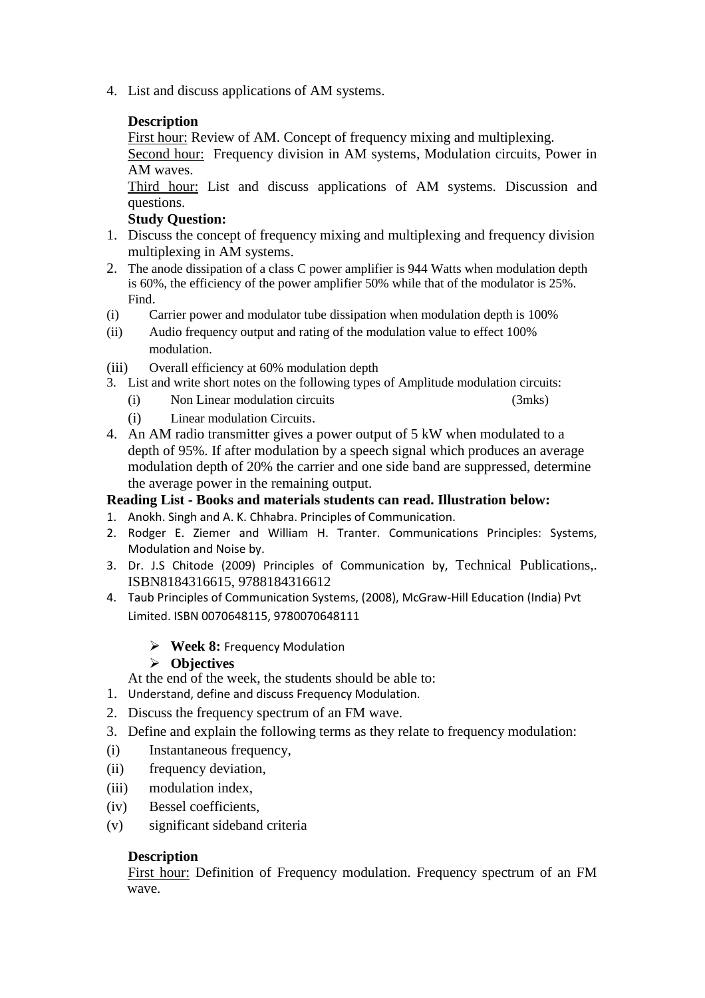4. List and discuss applications of AM systems.

# **Description**

First hour: Review of AM. Concept of frequency mixing and multiplexing.

Second hour: Frequency division in AM systems, Modulation circuits, Power in AM waves.

Third hour: List and discuss applications of AM systems. Discussion and questions.

#### **Study Question:**

- 1. Discuss the concept of frequency mixing and multiplexing and frequency division multiplexing in AM systems.
- 2. The anode dissipation of a class C power amplifier is 944 Watts when modulation depth is 60%, the efficiency of the power amplifier 50% while that of the modulator is 25%. Find.
- (i) Carrier power and modulator tube dissipation when modulation depth is 100%
- (ii) Audio frequency output and rating of the modulation value to effect 100% modulation.
- (iii) Overall efficiency at 60% modulation depth
- 3. List and write short notes on the following types of Amplitude modulation circuits:
	- (i) Non Linear modulation circuits (3mks)
	- (i) Linear modulation Circuits.
- 4. An AM radio transmitter gives a power output of 5 kW when modulated to a depth of 95%. If after modulation by a speech signal which produces an average modulation depth of 20% the carrier and one side band are suppressed, determine the average power in the remaining output.

#### **Reading List - Books and materials students can read. Illustration below:**

- 1. Anokh. Singh and A. K. Chhabra. Principles of Communication.
- 2. Rodger E. Ziemer and William H. Tranter. Communications Principles: Systems, Modulation and Noise by.
- 3. Dr. J.S Chitode (2009) Principles of Communication by, Technical Publications,. ISBN8184316615, 9788184316612
- 4. Taub Principles of Communication Systems, (2008), McGraw-Hill Education (India) Pvt Limited. ISBN 0070648115, 9780070648111

# **Week 8:** Frequency Modulation

# **Objectives**

At the end of the week, the students should be able to:

- 1. Understand, define and discuss Frequency Modulation.
- 2. Discuss the frequency spectrum of an FM wave.
- 3. Define and explain the following terms as they relate to frequency modulation:
- (i) Instantaneous frequency,
- (ii) frequency deviation,
- (iii) modulation index,
- (iv) Bessel coefficients,
- (v) significant sideband criteria

# **Description**

First hour: Definition of Frequency modulation. Frequency spectrum of an FM wave.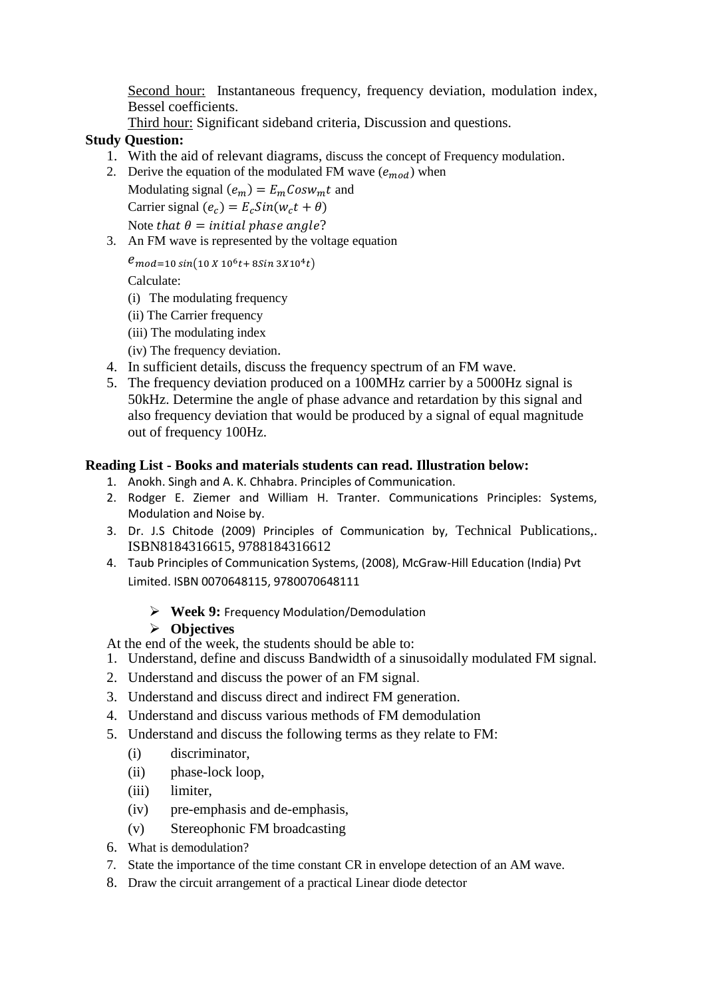Second hour: Instantaneous frequency, frequency deviation, modulation index, Bessel coefficients.

Third hour: Significant sideband criteria, Discussion and questions.

# **Study Question:**

- 1. With the aid of relevant diagrams, discuss the concept of Frequency modulation.
- 2. Derive the equation of the modulated FM wave  $(e_{mod})$  when

Modulating signal  $(e_m) = E_m \cos w_m t$  and Carrier signal  $(e_c) = E_c Sin(w_c t + \theta)$ 

Note that  $\theta$  = initial phase angle?

3. An FM wave is represented by the voltage equation

 $e_{mod=10\,sin(10\,X\,10^6t+8Sin\,3X10^4t)}$ 

Calculate:

- (i) The modulating frequency
- (ii) The Carrier frequency
- (iii) The modulating index
- (iv) The frequency deviation.
- 4. In sufficient details, discuss the frequency spectrum of an FM wave.
- 5. The frequency deviation produced on a 100MHz carrier by a 5000Hz signal is 50kHz. Determine the angle of phase advance and retardation by this signal and also frequency deviation that would be produced by a signal of equal magnitude out of frequency 100Hz.

# **Reading List - Books and materials students can read. Illustration below:**

- 1. Anokh. Singh and A. K. Chhabra. Principles of Communication.
- 2. Rodger E. Ziemer and William H. Tranter. Communications Principles: Systems, Modulation and Noise by.
- 3. Dr. J.S Chitode (2009) Principles of Communication by, Technical Publications,. ISBN8184316615, 9788184316612
- 4. Taub Principles of Communication Systems, (2008), McGraw-Hill Education (India) Pvt Limited. ISBN 0070648115, 9780070648111
	- **Week 9:** Frequency Modulation/Demodulation

# **Objectives**

- At the end of the week, the students should be able to:
- 1. Understand, define and discuss Bandwidth of a sinusoidally modulated FM signal.
- 2. Understand and discuss the power of an FM signal.
- 3. Understand and discuss direct and indirect FM generation.
- 4. Understand and discuss various methods of FM demodulation
- 5. Understand and discuss the following terms as they relate to FM:
	- (i) discriminator,
	- (ii) phase-lock loop,
	- (iii) limiter,
	- (iv) pre-emphasis and de-emphasis,
	- (v) Stereophonic FM broadcasting
- 6. What is demodulation?
- 7. State the importance of the time constant CR in envelope detection of an AM wave.
- 8. Draw the circuit arrangement of a practical Linear diode detector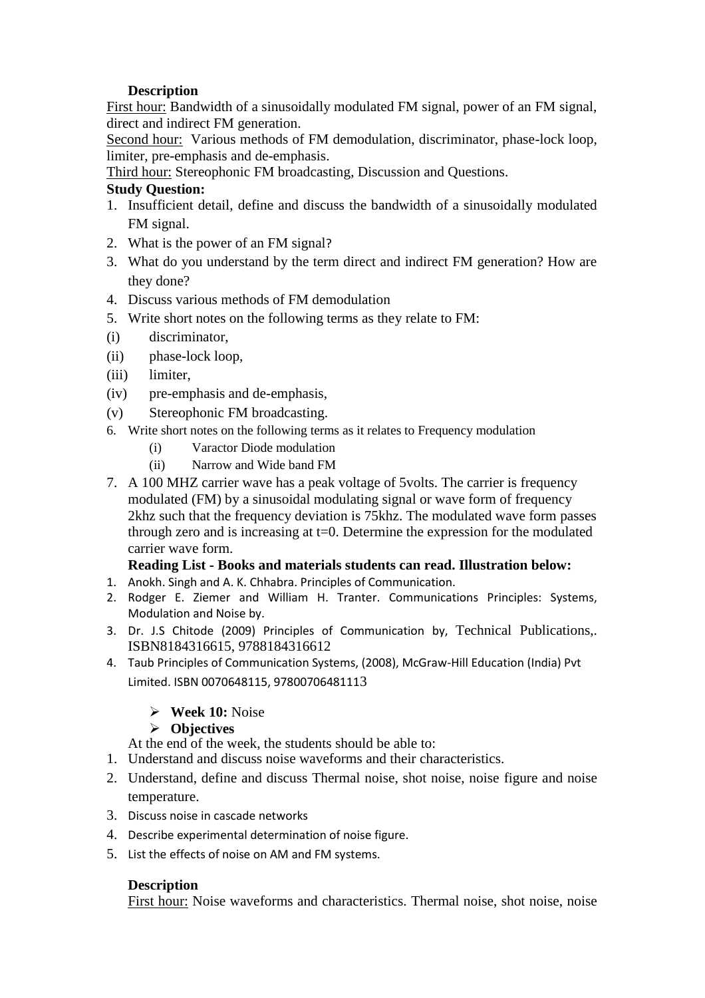# **Description**

First hour: Bandwidth of a sinusoidally modulated FM signal, power of an FM signal, direct and indirect FM generation.

Second hour: Various methods of FM demodulation, discriminator, phase-lock loop, limiter, pre-emphasis and de-emphasis.

Third hour: Stereophonic FM broadcasting, Discussion and Questions.

# **Study Question:**

- 1. Insufficient detail, define and discuss the bandwidth of a sinusoidally modulated FM signal.
- 2. What is the power of an FM signal?
- 3. What do you understand by the term direct and indirect FM generation? How are they done?
- 4. Discuss various methods of FM demodulation
- 5. Write short notes on the following terms as they relate to FM:
- (i) discriminator,
- (ii) phase-lock loop,
- (iii) limiter,
- (iv) pre-emphasis and de-emphasis,
- (v) Stereophonic FM broadcasting.
- 6. Write short notes on the following terms as it relates to Frequency modulation
	- (i) Varactor Diode modulation
	- (ii) Narrow and Wide band FM
- 7. A 100 MHZ carrier wave has a peak voltage of 5volts. The carrier is frequency modulated (FM) by a sinusoidal modulating signal or wave form of frequency 2khz such that the frequency deviation is 75khz. The modulated wave form passes through zero and is increasing at t=0. Determine the expression for the modulated carrier wave form.

# **Reading List - Books and materials students can read. Illustration below:**

- 1. Anokh. Singh and A. K. Chhabra. Principles of Communication.
- 2. Rodger E. Ziemer and William H. Tranter. Communications Principles: Systems, Modulation and Noise by.
- 3. Dr. J.S Chitode (2009) Principles of Communication by, Technical Publications,. ISBN8184316615, 9788184316612
- 4. Taub Principles of Communication Systems, (2008), McGraw-Hill Education (India) Pvt Limited. ISBN 0070648115, 97800706481113

# **Week 10:** Noise

# **Objectives**

At the end of the week, the students should be able to:

- 1. Understand and discuss noise waveforms and their characteristics.
- 2. Understand, define and discuss Thermal noise, shot noise, noise figure and noise temperature.
- 3. Discuss noise in cascade networks
- 4. Describe experimental determination of noise figure.
- 5. List the effects of noise on AM and FM systems.

# **Description**

First hour: Noise waveforms and characteristics. Thermal noise, shot noise, noise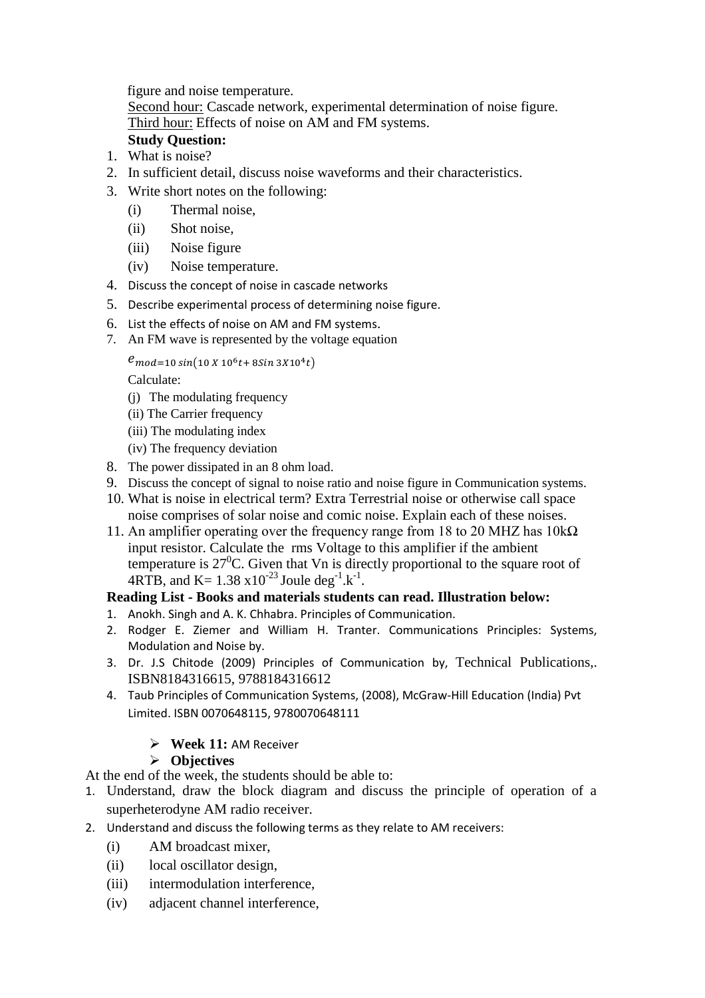figure and noise temperature.

Second hour: Cascade network, experimental determination of noise figure. Third hour: Effects of noise on AM and FM systems.

# **Study Question:**

- 1. What is noise?
- 2. In sufficient detail, discuss noise waveforms and their characteristics.
- 3. Write short notes on the following:
	- (i) Thermal noise,
	- (ii) Shot noise,
	- (iii) Noise figure
	- (iv) Noise temperature.
- 4. Discuss the concept of noise in cascade networks
- 5. Describe experimental process of determining noise figure.
- 6. List the effects of noise on AM and FM systems.
- 7. An FM wave is represented by the voltage equation

 $e_{mod=10\,sin(10\,X\,10^6t+8Sin\,3X10^4t)}$ 

Calculate:

- (j) The modulating frequency
- (ii) The Carrier frequency
- (iii) The modulating index
- (iv) The frequency deviation
- 8. The power dissipated in an 8 ohm load.
- 9. Discuss the concept of signal to noise ratio and noise figure in Communication systems.
- 10. What is noise in electrical term? Extra Terrestrial noise or otherwise call space noise comprises of solar noise and comic noise. Explain each of these noises.
- 11. An amplifier operating over the frequency range from 18 to 20 MHZ has  $10k\Omega$ input resistor. Calculate the rms Voltage to this amplifier if the ambient temperature is  $27^{\circ}$ C. Given that Vn is directly proportional to the square root of 4RTB, and K=  $1.38 \times 10^{-23}$  Joule deg<sup>-1</sup>.k<sup>-1</sup>.

# **Reading List - Books and materials students can read. Illustration below:**

- 1. Anokh. Singh and A. K. Chhabra. Principles of Communication.
- 2. Rodger E. Ziemer and William H. Tranter. Communications Principles: Systems, Modulation and Noise by.
- 3. Dr. J.S Chitode (2009) Principles of Communication by, Technical Publications,. ISBN8184316615, 9788184316612
- 4. Taub Principles of Communication Systems, (2008), McGraw-Hill Education (India) Pvt Limited. ISBN 0070648115, 9780070648111

# **Week 11:** AM Receiver

# **Objectives**

At the end of the week, the students should be able to:

- 1. Understand, draw the block diagram and discuss the principle of operation of a superheterodyne AM radio receiver.
- 2. Understand and discuss the following terms as they relate to AM receivers:
	- (i) AM broadcast mixer,
	- (ii) local oscillator design,
	- (iii) intermodulation interference,
	- (iv) adjacent channel interference,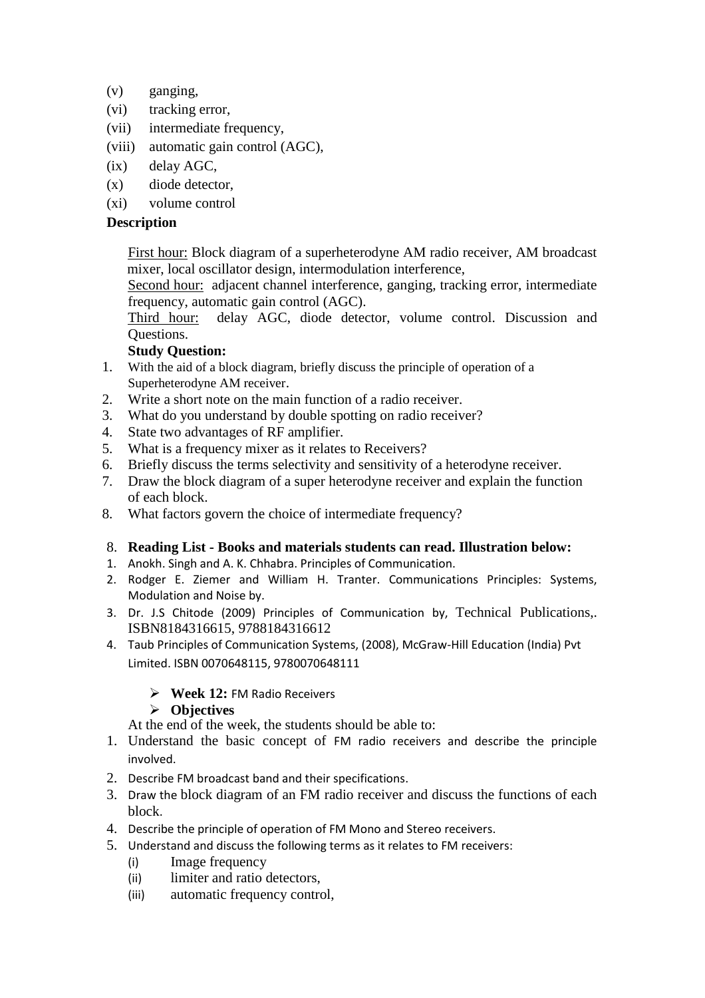- (v) ganging,
- (vi) tracking error,
- (vii) intermediate frequency,
- (viii) automatic gain control (AGC),
- (ix) delay AGC,
- (x) diode detector,
- (xi) volume control

# **Description**

First hour: Block diagram of a superheterodyne AM radio receiver, AM broadcast mixer, local oscillator design, intermodulation interference,

Second hour: adjacent channel interference, ganging, tracking error, intermediate frequency, automatic gain control (AGC).

Third hour: delay AGC, diode detector, volume control. Discussion and Questions.

# **Study Question:**

- 1. With the aid of a block diagram, briefly discuss the principle of operation of a Superheterodyne AM receiver.
- 2. Write a short note on the main function of a radio receiver.
- 3. What do you understand by double spotting on radio receiver?
- 4. State two advantages of RF amplifier.
- 5. What is a frequency mixer as it relates to Receivers?
- 6. Briefly discuss the terms selectivity and sensitivity of a heterodyne receiver.
- 7. Draw the block diagram of a super heterodyne receiver and explain the function of each block.
- 8. What factors govern the choice of intermediate frequency?

# 8. **Reading List - Books and materials students can read. Illustration below:**

- 1. Anokh. Singh and A. K. Chhabra. Principles of Communication.
- 2. Rodger E. Ziemer and William H. Tranter. Communications Principles: Systems, Modulation and Noise by.
- 3. Dr. J.S Chitode (2009) Principles of Communication by, Technical Publications,. ISBN8184316615, 9788184316612
- 4. Taub Principles of Communication Systems, (2008), McGraw-Hill Education (India) Pvt Limited. ISBN 0070648115, 9780070648111

# **Week 12:** FM Radio Receivers

# **Objectives**

At the end of the week, the students should be able to:

- 1. Understand the basic concept of FM radio receivers and describe the principle involved.
- 2. Describe FM broadcast band and their specifications.
- 3. Draw the block diagram of an FM radio receiver and discuss the functions of each block.
- 4. Describe the principle of operation of FM Mono and Stereo receivers.
- 5. Understand and discuss the following terms as it relates to FM receivers:
	- (i) Image frequency
	- (ii) limiter and ratio detectors,
	- (iii) automatic frequency control,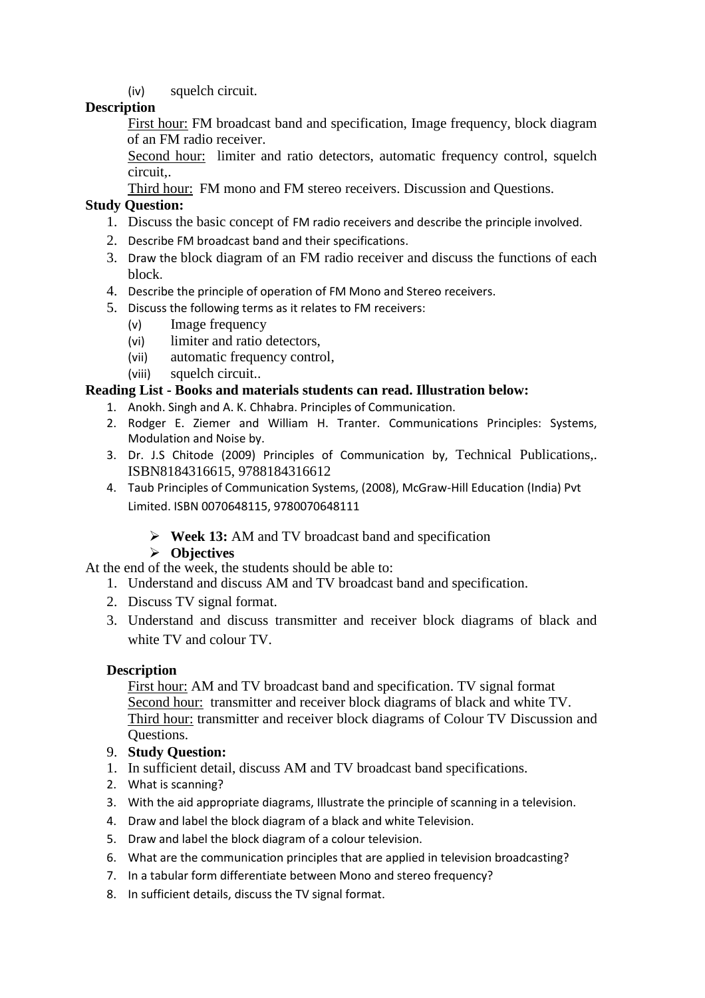(iv) squelch circuit.

# **Description**

First hour: FM broadcast band and specification, Image frequency, block diagram of an FM radio receiver.

Second hour: limiter and ratio detectors, automatic frequency control, squelch circuit,.

Third hour: FM mono and FM stereo receivers. Discussion and Questions.

# **Study Question:**

- 1. Discuss the basic concept of FM radio receivers and describe the principle involved.
- 2. Describe FM broadcast band and their specifications.
- 3. Draw the block diagram of an FM radio receiver and discuss the functions of each block.
- 4. Describe the principle of operation of FM Mono and Stereo receivers.
- 5. Discuss the following terms as it relates to FM receivers:
	- (v) Image frequency
	- (vi) limiter and ratio detectors,
	- (vii) automatic frequency control,
	- (viii) squelch circuit..

# **Reading List - Books and materials students can read. Illustration below:**

- 1. Anokh. Singh and A. K. Chhabra. Principles of Communication.
- 2. Rodger E. Ziemer and William H. Tranter. Communications Principles: Systems, Modulation and Noise by.
- 3. Dr. J.S Chitode (2009) Principles of Communication by, Technical Publications,. ISBN8184316615, 9788184316612
- 4. Taub Principles of Communication Systems, (2008), McGraw-Hill Education (India) Pvt Limited. ISBN 0070648115, 9780070648111
	- **Week 13:** AM and TV broadcast band and specification

# **Objectives**

At the end of the week, the students should be able to:

- 1. Understand and discuss AM and TV broadcast band and specification.
- 2. Discuss TV signal format.
- 3. Understand and discuss transmitter and receiver block diagrams of black and white TV and colour TV.

# **Description**

First hour: AM and TV broadcast band and specification. TV signal format Second hour: transmitter and receiver block diagrams of black and white TV. Third hour: transmitter and receiver block diagrams of Colour TV Discussion and Questions.

- 9. **Study Question:**
- 1. In sufficient detail, discuss AM and TV broadcast band specifications.
- 2. What is scanning?
- 3. With the aid appropriate diagrams, Illustrate the principle of scanning in a television.
- 4. Draw and label the block diagram of a black and white Television.
- 5. Draw and label the block diagram of a colour television.
- 6. What are the communication principles that are applied in television broadcasting?
- 7. In a tabular form differentiate between Mono and stereo frequency?
- 8. In sufficient details, discuss the TV signal format.